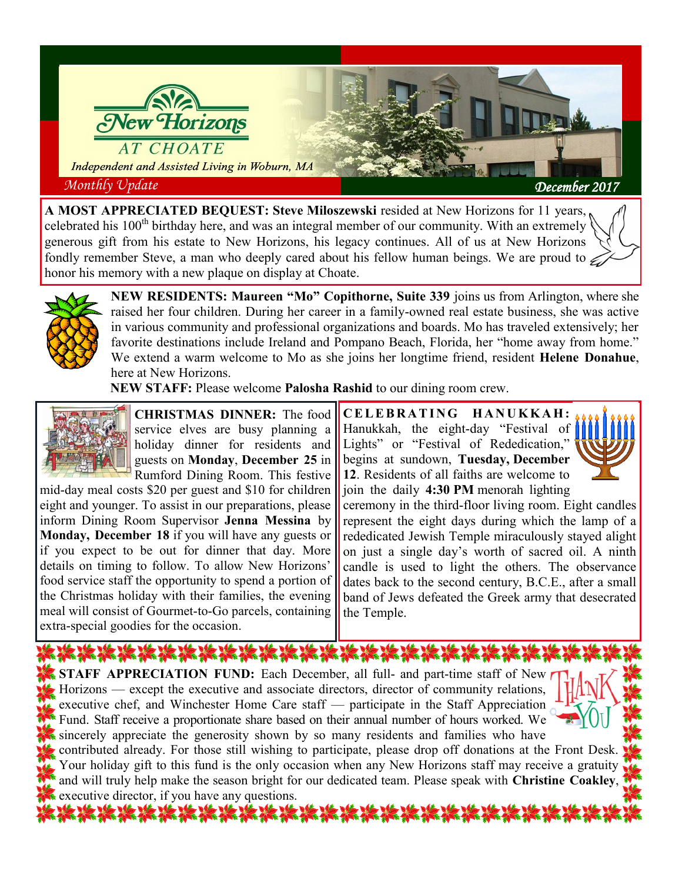

**A MOST APPRECIATED BEQUEST: Steve Miloszewski** resided at New Horizons for 11 years, celebrated his 100<sup>th</sup> birthday here, and was an integral member of our community. With an extremely generous gift from his estate to New Horizons, his legacy continues. All of us at New Horizons fondly remember Steve, a man who deeply cared about his fellow human beings. We are proud to  $\epsilon$ honor his memory with a new plaque on display at Choate.



**NEW RESIDENTS: Maureen "Mo" Copithorne, Suite 339** joins us from Arlington, where she raised her four children. During her career in a family-owned real estate business, she was active in various community and professional organizations and boards. Mo has traveled extensively; her favorite destinations include Ireland and Pompano Beach, Florida, her "home away from home." We extend a warm welcome to Mo as she joins her longtime friend, resident **Helene Donahue**, here at New Horizons.

**NEW STAFF:** Please welcome **Palosha Rashid** to our dining room crew.



**CHRISTMAS DINNER:** The food service elves are busy planning a holiday dinner for residents and guests on **Monday**, **December 25** in Rumford Dining Room. This festive

mid-day meal costs \$20 per guest and \$10 for children eight and younger. To assist in our preparations, please inform Dining Room Supervisor **Jenna Messina** by **Monday, December 18** if you will have any guests or if you expect to be out for dinner that day. More details on timing to follow. To allow New Horizons' food service staff the opportunity to spend a portion of the Christmas holiday with their families, the evening meal will consist of Gourmet-to-Go parcels, containing extra-special goodies for the occasion.

**C E L E B R A T I N G H A N U K K A H :**  Hanukkah, the eight-day "Festival of Lights" or "Festival of Rededication," begins at sundown, **Tuesday, December 12**. Residents of all faiths are welcome to join the daily **4:30 PM** menorah lighting



ceremony in the third-floor living room. Eight candles represent the eight days during which the lamp of a rededicated Jewish Temple miraculously stayed alight on just a single day's worth of sacred oil. A ninth candle is used to light the others. The observance dates back to the second century, B.C.E., after a small band of Jews defeated the Greek army that desecrated the Temple.

20 12 12 12 12 12 12 12 12 12 12 13 14 15 16 17 18 18 19 10 12 12 13 14 15 **STAFF APPRECIATION FUND:** Each December, all full- and part-time staff of New Horizons — except the executive and associate directors, director of community relations, executive chef, and Winchester Home Care staff — participate in the Staff Appreciation Fund. Staff receive a proportionate share based on their annual number of hours worked. We sincerely appreciate the generosity shown by so many residents and families who have

contributed already. For those still wishing to participate, please drop off donations at the Front Desk. Your holiday gift to this fund is the only occasion when any New Horizons staff may receive a gratuity and will truly help make the season bright for our dedicated team. Please speak with **Christine Coakley**, executive director, if you have any questions.